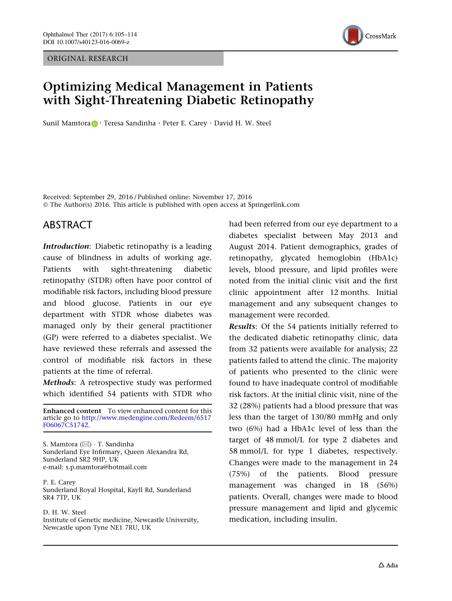ORIGINAL RESEARCH



# Optimizing Medical Management in Patients with Sight-Threatening Diabetic Retinopathy

Sunil Mamtora **D** · Teresa Sandinha · Peter E[.](http://orcid.org/0000-0002-1718-8973) Carey · David H. W. Steel

Received: September 29, 2016 / Published online: November 17, 2016 © The Author(s) 2016. This article is published with open access at Springerlink.com

## ABSTRACT

Introduction: Diabetic retinopathy is a leading cause of blindness in adults of working age. Patients with sight-threatening diabetic retinopathy (STDR) often have poor control of modifiable risk factors, including blood pressure and blood glucose. Patients in our eye department with STDR whose diabetes was managed only by their general practitioner (GP) were referred to a diabetes specialist. We have reviewed these referrals and assessed the control of modifiable risk factors in these patients at the time of referral.

Methods: A retrospective study was performed which identified 54 patients with STDR who

Enhanced content To view enhanced content for this article go to [http://www.medengine.com/Redeem/6517](http://www.medengine.com/Redeem/6517F06067C51742) [F06067C51742](http://www.medengine.com/Redeem/6517F06067C51742).

S. Mamtora (&) - T. Sandinha Sunderland Eye Infirmary, Queen Alexandra Rd, Sunderland SR2 9HP, UK e-mail: s.p.mamtora@hotmail.com

P. E. Carey Sunderland Royal Hospital, Kayll Rd, Sunderland SR4 7TP, UK

D. H. W. Steel Institute of Genetic medicine, Newcastle University, Newcastle upon Tyne NE1 7RU, UK

had been referred from our eye department to a diabetes specialist between May 2013 and August 2014. Patient demographics, grades of retinopathy, glycated hemoglobin (HbA1c) levels, blood pressure, and lipid profiles were noted from the initial clinic visit and the first clinic appointment after 12 months. Initial management and any subsequent changes to management were recorded.

Results: Of the 54 patients initially referred to the dedicated diabetic retinopathy clinic, data from 32 patients were available for analysis; 22 patients failed to attend the clinic. The majority of patients who presented to the clinic were found to have inadequate control of modifiable risk factors. At the initial clinic visit, nine of the 32 (28%) patients had a blood pressure that was less than the target of 130/80 mmHg and only two (6%) had a HbA1c level of less than the target of 48 mmol/L for type 2 diabetes and 58 mmol/L for type 1 diabetes, respectively. Changes were made to the management in 24 (75%) of the patients. Blood pressure management was changed in 18 (56%) patients. Overall, changes were made to blood pressure management and lipid and glycemic medication, including insulin.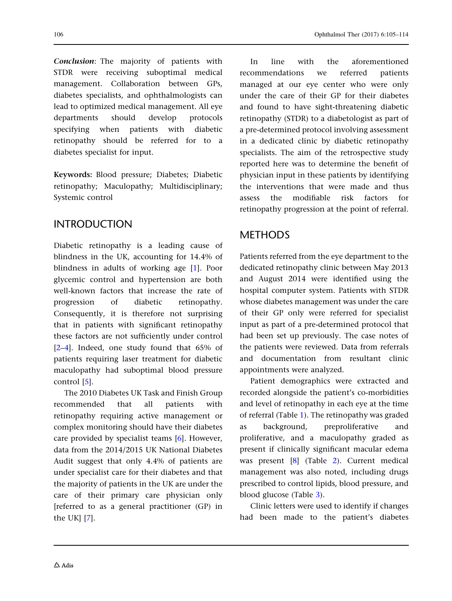Conclusion: The majority of patients with STDR were receiving suboptimal medical management. Collaboration between GPs, diabetes specialists, and ophthalmologists can lead to optimized medical management. All eye departments should develop protocols specifying when patients with diabetic retinopathy should be referred for to a diabetes specialist for input.

Keywords: Blood pressure; Diabetes; Diabetic retinopathy; Maculopathy; Multidisciplinary; Systemic control

#### INTRODUCTION

Diabetic retinopathy is a leading cause of blindness in the UK, accounting for 14.4% of blindness in adults of working age [\[1\]](#page-7-0). Poor glycemic control and hypertension are both well-known factors that increase the rate of progression of diabetic retinopathy. Consequently, it is therefore not surprising that in patients with significant retinopathy these factors are not sufficiently under control [\[2–4\]](#page-7-0). Indeed, one study found that 65% of patients requiring laser treatment for diabetic maculopathy had suboptimal blood pressure control [[5](#page-7-0)].

The 2010 Diabetes UK Task and Finish Group recommended that all patients with retinopathy requiring active management or complex monitoring should have their diabetes care provided by specialist teams [[6](#page-7-0)]. However, data from the 2014/2015 UK National Diabetes Audit suggest that only 4.4% of patients are under specialist care for their diabetes and that the majority of patients in the UK are under the care of their primary care physician only [referred to as a general practitioner (GP) in the UK] [[7\]](#page-7-0).

In line with the aforementioned recommendations we referred patients managed at our eye center who were only under the care of their GP for their diabetes and found to have sight-threatening diabetic retinopathy (STDR) to a diabetologist as part of a pre-determined protocol involving assessment in a dedicated clinic by diabetic retinopathy specialists. The aim of the retrospective study reported here was to determine the benefit of physician input in these patients by identifying the interventions that were made and thus assess the modifiable risk factors for retinopathy progression at the point of referral.

## METHODS

Patients referred from the eye department to the dedicated retinopathy clinic between May 2013 and August 2014 were identified using the hospital computer system. Patients with STDR whose diabetes management was under the care of their GP only were referred for specialist input as part of a pre-determined protocol that had been set up previously. The case notes of the patients were reviewed. Data from referrals and documentation from resultant clinic appointments were analyzed.

Patient demographics were extracted and recorded alongside the patient's co-morbidities and level of retinopathy in each eye at the time of referral (Table [1\)](#page-2-0). The retinopathy was graded as background, preproliferative and proliferative, and a maculopathy graded as present if clinically significant macular edema was present [[8](#page-7-0)] (Table [2](#page-2-0)). Current medical management was also noted, including drugs prescribed to control lipids, blood pressure, and blood glucose (Table [3\)](#page-3-0).

Clinic letters were used to identify if changes had been made to the patient's diabetes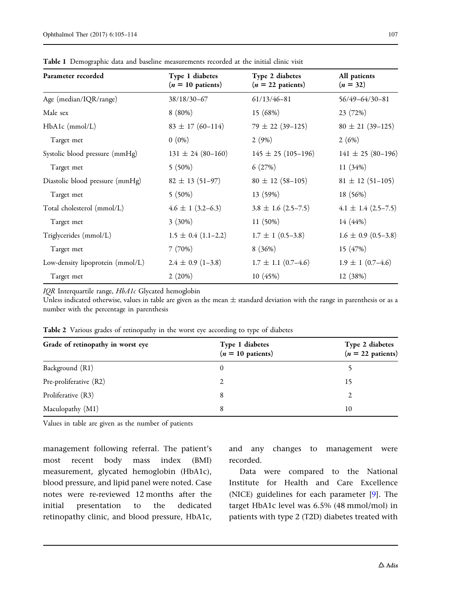| Parameter recorded               | Type 1 diabetes<br>$(n = 10 \text{ patients})$ | Type 2 diabetes<br>$(n = 22$ patients) | All patients<br>$(n = 32)$ |
|----------------------------------|------------------------------------------------|----------------------------------------|----------------------------|
| Age (median/IQR/range)           | 38/18/30-67                                    | $61/13/46 - 81$                        | $56/49 - 64/30 - 81$       |
| Male sex                         | $8(80\%)$                                      | 15 (68%)                               | 23 (72%)                   |
| $HbA1c$ (mmol/L)                 | $83 \pm 17 (60 - 114)$                         | $79 \pm 22 (39 - 125)$                 | $80 \pm 21 (39 - 125)$     |
| Target met                       | $0(0\%)$                                       | 2(9%)                                  | 2(6%)                      |
| Systolic blood pressure (mmHg)   | $131 \pm 24 (80 - 160)$                        | $145 \pm 25 (105 - 196)$               | $141 \pm 25 (80 - 196)$    |
| Target met                       | $5(50\%)$                                      | 6(27%)                                 | 11(34%)                    |
| Diastolic blood pressure (mmHg)  | $82 \pm 13 (51 - 97)$                          | $80 \pm 12 (58 - 105)$                 | $81 \pm 12$ (51-105)       |
| Target met                       | $5(50\%)$                                      | 13 (59%)                               | 18 (56%)                   |
| Total cholesterol (mmol/L)       | $4.6 \pm 1 (3.2 - 6.3)$                        | $3.8 \pm 1.6$ (2.5–7.5)                | $4.1 \pm 1.4$ (2.5-7.5)    |
| Target met                       | $3(30\%)$                                      | $11(50\%)$                             | 14 (44%)                   |
| Triglycerides (mmol/L)           | $1.5 \pm 0.4$ (1.1–2.2)                        | $1.7 \pm 1$ (0.5–3.8)                  | $1.6 \pm 0.9$ (0.5–3.8)    |
| Target met                       | 7(70%)                                         | 8(36%)                                 | 15 (47%)                   |
| Low-density lipoprotein (mmol/L) | $2.4 \pm 0.9$ (1-3.8)                          | $1.7 \pm 1.1$ (0.7–4.6)                | $1.9 \pm 1$ (0.7–4.6)      |
| Target met                       | 2(20%)                                         | 10(45%)                                | 12 (38%)                   |

<span id="page-2-0"></span>Table 1 Demographic data and baseline measurements recorded at the initial clinic visit

IQR Interquartile range, HbA1c Glycated hemoglobin

Unless indicated otherwise, values in table are given as the mean  $\pm$  standard deviation with the range in parenthesis or as a number with the percentage in parenthesis

| Grade of retinopathy in worst eye | Type 1 diabetes             | Type 2 diabetes     |  |  |
|-----------------------------------|-----------------------------|---------------------|--|--|
|                                   | $(n = 10 \text{ patients})$ | $(n = 22$ patients) |  |  |
| Background (R1)                   |                             |                     |  |  |
| Pre-proliferative (R2)            |                             | 15                  |  |  |
| Proliferative (R3)                |                             |                     |  |  |
| Maculopathy (M1)                  | 8                           | 10                  |  |  |

Table 2 Various grades of retinopathy in the worst eye according to type of diabetes

Values in table are given as the number of patients

management following referral. The patient's most recent body mass index (BMI) measurement, glycated hemoglobin (HbA1c), blood pressure, and lipid panel were noted. Case notes were re-reviewed 12 months after the initial presentation to the dedicated retinopathy clinic, and blood pressure, HbA1c,

and any changes to management were recorded.

Data were compared to the National Institute for Health and Care Excellence (NICE) guidelines for each parameter [\[9\]](#page-8-0). The target HbA1c level was 6.5% (48 mmol/mol) in patients with type 2 (T2D) diabetes treated with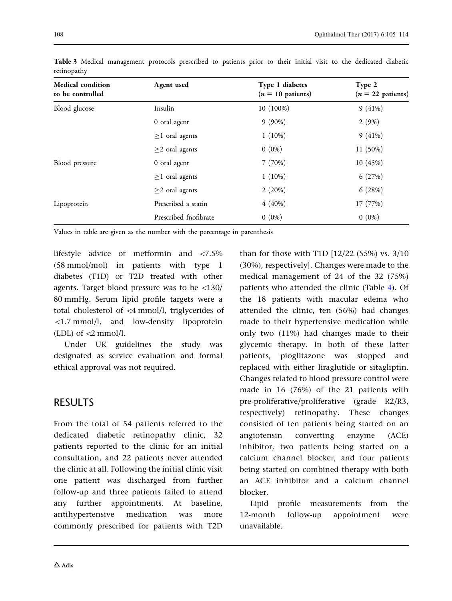<span id="page-3-0"></span>

|             | Table 3 Medical management protocols prescribed to patients prior to their initial visit to the dedicated diabetic |  |  |  |  |  |  |  |
|-------------|--------------------------------------------------------------------------------------------------------------------|--|--|--|--|--|--|--|
| retinopathy |                                                                                                                    |  |  |  |  |  |  |  |

| <b>Medical condition</b><br>to be controlled | Agent used            | Type 1 diabetes<br>$(n = 10 \text{ patients})$ | Type 2<br>$(n = 22$ patients) |
|----------------------------------------------|-----------------------|------------------------------------------------|-------------------------------|
| Blood glucose                                | Insulin               | 10 (100%)                                      | 9(41%)                        |
|                                              | 0 oral agent          | $9(90\%)$                                      | 2(9%)                         |
|                                              | $\geq$ 1 oral agents  | $1(10\%)$                                      | 9(41%)                        |
|                                              | $\geq$ 2 oral agents  | $0(0\%)$                                       | 11 (50%)                      |
| Blood pressure                               | 0 oral agent          | 7(70%)                                         | 10 (45%)                      |
|                                              | $\geq$ 1 oral agents  | $1(10\%)$                                      | 6(27%)                        |
|                                              | $\geq$ 2 oral agents  | 2(20%)                                         | 6(28%)                        |
| Lipoprotein                                  | Prescribed a statin   | 4(40%)                                         | 17 (77%)                      |
|                                              | Prescribed fnofibrate | $0(0\%)$                                       | $0(0\%)$                      |

Values in table are given as the number with the percentage in parenthesis

lifestyle advice or metformin and  $\langle 7.5\%$ (58 mmol/mol) in patients with type 1 diabetes (T1D) or T2D treated with other agents. Target blood pressure was to be  $\langle 130/$ 80 mmHg. Serum lipid profile targets were a total cholesterol of \4 mmol/l, triglycerides of  $\langle 1.7 \text{ mmol/l} \rangle$  and low-density lipoprotein (LDL) of  $\langle 2 \text{mmol/l.}$ 

Under UK guidelines the study was designated as service evaluation and formal ethical approval was not required.

## RESULTS

From the total of 54 patients referred to the dedicated diabetic retinopathy clinic, 32 patients reported to the clinic for an initial consultation, and 22 patients never attended the clinic at all. Following the initial clinic visit one patient was discharged from further follow-up and three patients failed to attend any further appointments. At baseline, antihypertensive medication was more commonly prescribed for patients with T2D

than for those with T1D [12/22 (55%) vs. 3/10 (30%), respectively]. Changes were made to the medical management of 24 of the 32 (75%) patients who attended the clinic (Table [4\)](#page-4-0). Of the 18 patients with macular edema who attended the clinic, ten (56%) had changes made to their hypertensive medication while only two (11%) had changes made to their glycemic therapy. In both of these latter patients, pioglitazone was stopped and replaced with either liraglutide or sitagliptin. Changes related to blood pressure control were made in 16 (76%) of the 21 patients with pre-proliferative/proliferative (grade R2/R3, respectively) retinopathy. These changes consisted of ten patients being started on an angiotensin converting enzyme (ACE) inhibitor, two patients being started on a calcium channel blocker, and four patients being started on combined therapy with both an ACE inhibitor and a calcium channel blocker.

Lipid profile measurements from the 12-month follow-up appointment were unavailable.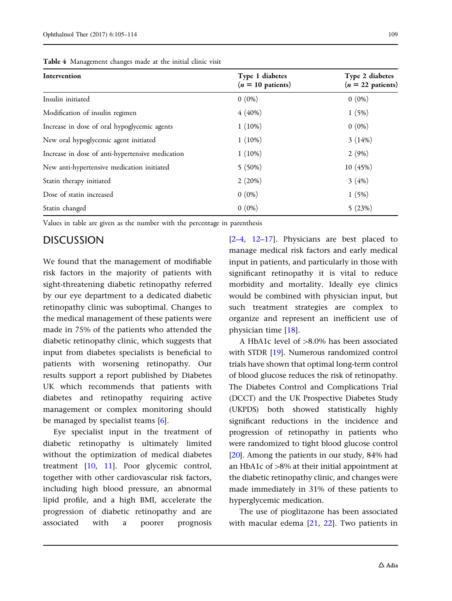| Intervention                                     | Type 1 diabetes<br>$(n = 10$ patients) | Type 2 diabetes<br>$(n = 22$ patients) |  |
|--------------------------------------------------|----------------------------------------|----------------------------------------|--|
| Insulin initiated                                | $0(0\%)$                               | $0(0\%)$                               |  |
| Modification of insulin regimen                  | $4(40\%)$                              | 1(5%)                                  |  |
| Increase in dose of oral hypoglycemic agents     | $1(10\%)$                              | $0(0\%)$                               |  |
| New oral hypoglycemic agent initiated            | $1(10\%)$                              | 3(14%)                                 |  |
| Increase in dose of anti-hypertensive medication | $1(10\%)$                              | 2(9%)                                  |  |
| New anti-hypertensive medication initiated       | $5(50\%)$                              | 10(45%)                                |  |
| Statin therapy initiated                         | 2(20%)                                 | 3(4%)                                  |  |
| Dose of statin increased                         | $0(0\%)$                               | 1(5%)                                  |  |
| Statin changed                                   | $0(0\%)$                               | 5(23%)                                 |  |

<span id="page-4-0"></span>Table 4 Management changes made at the initial clinic visit

Values in table are given as the number with the percentage in parenthesis

#### DISCUSSION

We found that the management of modifiable risk factors in the majority of patients with sight-threatening diabetic retinopathy referred by our eye department to a dedicated diabetic retinopathy clinic was suboptimal. Changes to the medical management of these patients were made in 75% of the patients who attended the diabetic retinopathy clinic, which suggests that input from diabetes specialists is beneficial to patients with worsening retinopathy. Our results support a report published by Diabetes UK which recommends that patients with diabetes and retinopathy requiring active management or complex monitoring should be managed by specialist teams [[6\]](#page-7-0).

Eye specialist input in the treatment of diabetic retinopathy is ultimately limited without the optimization of medical diabetes treatment [\[10,](#page-8-0) [11](#page-8-0)]. Poor glycemic control, together with other cardiovascular risk factors, including high blood pressure, an abnormal lipid profile, and a high BMI, accelerate the progression of diabetic retinopathy and are associated with a poorer prognosis

 $[2-4, 12-17]$ . Physicians are best placed to manage medical risk factors and early medical input in patients, and particularly in those with significant retinopathy it is vital to reduce morbidity and mortality. Ideally eye clinics would be combined with physician input, but such treatment strategies are complex to organize and represent an inefficient use of physician time [\[18\]](#page-8-0).

A HbA1c level of  $>8.0\%$  has been associated with STDR [\[19](#page-8-0)]. Numerous randomized control trials have shown that optimal long-term control of blood glucose reduces the risk of retinopathy. The Diabetes Control and Complications Trial (DCCT) and the UK Prospective Diabetes Study (UKPDS) both showed statistically highly significant reductions in the incidence and progression of retinopathy in patients who were randomized to tight blood glucose control [\[20](#page-8-0)]. Among the patients in our study, 84% had an HbA1c of  $>8\%$  at their initial appointment at the diabetic retinopathy clinic, and changes were made immediately in 31% of these patients to hyperglycemic medication.

The use of pioglitazone has been associated with macular edema  $[21, 22]$  $[21, 22]$  $[21, 22]$  $[21, 22]$  $[21, 22]$ . Two patients in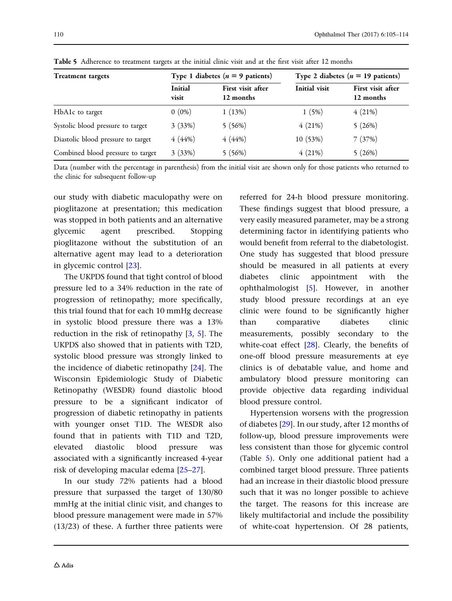| <b>Treatment targets</b>           |                  | Type 1 diabetes ( $n = 9$ patients) | Type 2 diabetes ( $n = 19$ patients) |                                |  |  |
|------------------------------------|------------------|-------------------------------------|--------------------------------------|--------------------------------|--|--|
|                                    | Initial<br>visit | First visit after<br>12 months      | Initial visit                        | First visit after<br>12 months |  |  |
| HbA1c to target                    | $0(0\%)$         | 1(13%)                              | 1(5%)                                | 4(21%)                         |  |  |
| Systolic blood pressure to target  | 3(33%)           | 5(56%)                              | 4(21%)                               | 5(26%)                         |  |  |
| Diastolic blood pressure to target | 4(44%)           | 4(44%)                              | 10 (53%)                             | 7(37%)                         |  |  |
| Combined blood pressure to target  | 3(33%)           | 5(56%)                              | 4(21%)                               | 5(26%)                         |  |  |

Table 5 Adherence to treatment targets at the initial clinic visit and at the first visit after 12 months

Data (number with the percentage in parenthesis) from the initial visit are shown only for those patients who returned to the clinic for subsequent follow-up

our study with diabetic maculopathy were on pioglitazone at presentation; this medication was stopped in both patients and an alternative glycemic agent prescribed. Stopping pioglitazone without the substitution of an alternative agent may lead to a deterioration in glycemic control [\[23\]](#page-8-0).

The UKPDS found that tight control of blood pressure led to a 34% reduction in the rate of progression of retinopathy; more specifically, this trial found that for each 10 mmHg decrease in systolic blood pressure there was a 13% reduction in the risk of retinopathy [[3](#page-7-0), [5\]](#page-7-0). The UKPDS also showed that in patients with T2D, systolic blood pressure was strongly linked to the incidence of diabetic retinopathy [\[24\]](#page-8-0). The Wisconsin Epidemiologic Study of Diabetic Retinopathy (WESDR) found diastolic blood pressure to be a significant indicator of progression of diabetic retinopathy in patients with younger onset T1D. The WESDR also found that in patients with T1D and T2D, elevated diastolic blood pressure was associated with a significantly increased 4-year risk of developing macular edema [[25–27](#page-8-0)].

In our study 72% patients had a blood pressure that surpassed the target of 130/80 mmHg at the initial clinic visit, and changes to blood pressure management were made in 57% (13/23) of these. A further three patients were referred for 24-h blood pressure monitoring. These findings suggest that blood pressure, a very easily measured parameter, may be a strong determining factor in identifying patients who would benefit from referral to the diabetologist. One study has suggested that blood pressure should be measured in all patients at every diabetes clinic appointment with the ophthalmologist [[5\]](#page-7-0). However, in another study blood pressure recordings at an eye clinic were found to be significantly higher than comparative diabetes clinic measurements, possibly secondary to the white-coat effect  $[28]$ . Clearly, the benefits of one-off blood pressure measurements at eye clinics is of debatable value, and home and ambulatory blood pressure monitoring can provide objective data regarding individual blood pressure control.

Hypertension worsens with the progression of diabetes [\[29\]](#page-8-0). In our study, after 12 months of follow-up, blood pressure improvements were less consistent than those for glycemic control (Table 5). Only one additional patient had a combined target blood pressure. Three patients had an increase in their diastolic blood pressure such that it was no longer possible to achieve the target. The reasons for this increase are likely multifactorial and include the possibility of white-coat hypertension. Of 28 patients,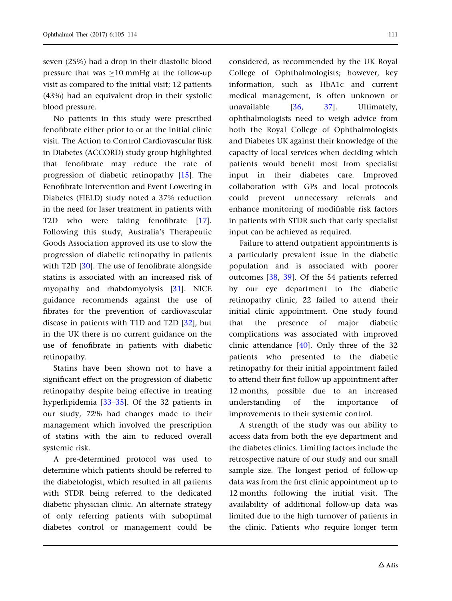seven (25%) had a drop in their diastolic blood pressure that was  $>10$  mmHg at the follow-up visit as compared to the initial visit; 12 patients (43%) had an equivalent drop in their systolic blood pressure.

No patients in this study were prescribed fenofibrate either prior to or at the initial clinic visit. The Action to Control Cardiovascular Risk in Diabetes (ACCORD) study group highlighted that fenofibrate may reduce the rate of progression of diabetic retinopathy [\[15\]](#page-8-0). The Fenofibrate Intervention and Event Lowering in Diabetes (FIELD) study noted a 37% reduction in the need for laser treatment in patients with T2D who were taking fenofibrate [[17\]](#page-8-0). Following this study, Australia's Therapeutic Goods Association approved its use to slow the progression of diabetic retinopathy in patients with T2D [[30](#page-8-0)]. The use of fenofibrate alongside statins is associated with an increased risk of myopathy and rhabdomyolysis [[31](#page-8-0)]. NICE guidance recommends against the use of fibrates for the prevention of cardiovascular disease in patients with T1D and T2D [\[32\]](#page-8-0), but in the UK there is no current guidance on the use of fenofibrate in patients with diabetic retinopathy.

Statins have been shown not to have a significant effect on the progression of diabetic retinopathy despite being effective in treating hyperlipidemia [[33–35\]](#page-9-0). Of the 32 patients in our study, 72% had changes made to their management which involved the prescription of statins with the aim to reduced overall systemic risk.

A pre-determined protocol was used to determine which patients should be referred to the diabetologist, which resulted in all patients with STDR being referred to the dedicated diabetic physician clinic. An alternate strategy of only referring patients with suboptimal diabetes control or management could be considered, as recommended by the UK Royal College of Ophthalmologists; however, key information, such as HbA1c and current medical management, is often unknown or unavailable [[36](#page-9-0), [37\]](#page-9-0). Ultimately, ophthalmologists need to weigh advice from both the Royal College of Ophthalmologists and Diabetes UK against their knowledge of the capacity of local services when deciding which patients would benefit most from specialist input in their diabetes care. Improved collaboration with GPs and local protocols could prevent unnecessary referrals and enhance monitoring of modifiable risk factors in patients with STDR such that early specialist input can be achieved as required.

Failure to attend outpatient appointments is a particularly prevalent issue in the diabetic population and is associated with poorer outcomes [[38](#page-9-0), [39\]](#page-9-0). Of the 54 patients referred by our eye department to the diabetic retinopathy clinic, 22 failed to attend their initial clinic appointment. One study found that the presence of major diabetic complications was associated with improved clinic attendance  $[40]$ . Only three of the 32 patients who presented to the diabetic retinopathy for their initial appointment failed to attend their first follow up appointment after 12 months, possible due to an increased understanding of the importance of improvements to their systemic control.

A strength of the study was our ability to access data from both the eye department and the diabetes clinics. Limiting factors include the retrospective nature of our study and our small sample size. The longest period of follow-up data was from the first clinic appointment up to 12 months following the initial visit. The availability of additional follow-up data was limited due to the high turnover of patients in the clinic. Patients who require longer term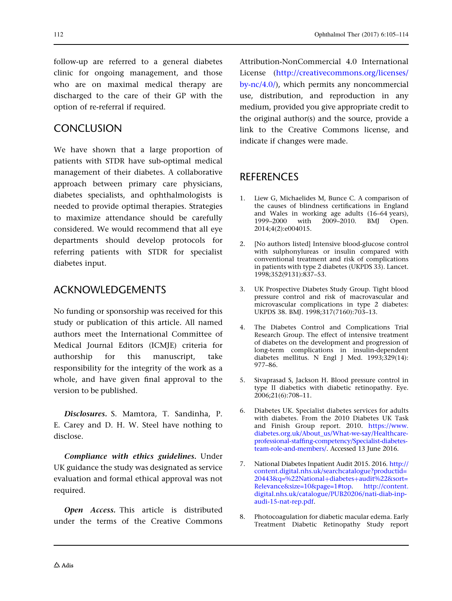<span id="page-7-0"></span>follow-up are referred to a general diabetes clinic for ongoing management, and those who are on maximal medical therapy are discharged to the care of their GP with the option of re-referral if required.

#### **CONCLUSION**

We have shown that a large proportion of patients with STDR have sub-optimal medical management of their diabetes. A collaborative approach between primary care physicians, diabetes specialists, and ophthalmologists is needed to provide optimal therapies. Strategies to maximize attendance should be carefully considered. We would recommend that all eye departments should develop protocols for referring patients with STDR for specialist diabetes input.

#### ACKNOWLEDGEMENTS

No funding or sponsorship was received for this study or publication of this article. All named authors meet the International Committee of Medical Journal Editors (ICMJE) criteria for authorship for this manuscript, take responsibility for the integrity of the work as a whole, and have given final approval to the version to be published.

Disclosures. S. Mamtora, T. Sandinha, P. E. Carey and D. H. W. Steel have nothing to disclose.

Compliance with ethics guidelines. Under UK guidance the study was designated as service evaluation and formal ethical approval was not required.

Open Access. This article is distributed under the terms of the Creative Commons Attribution-NonCommercial 4.0 International License ([http://creativecommons.org/licenses/](http://creativecommons.org/licenses/by-nc/4.0/) [by-nc/4.0/](http://creativecommons.org/licenses/by-nc/4.0/)), which permits any noncommercial use, distribution, and reproduction in any medium, provided you give appropriate credit to the original author(s) and the source, provide a link to the Creative Commons license, and indicate if changes were made.

#### **REFERENCES**

- Liew G, Michaelides M, Bunce C. A comparison of the causes of blindness certifications in England and Wales in working age adults (16–64 years),<br>1999–2000 with 2009–2010. BMJ Open. with 2009–2010. BMJ Open. 2014;4(2):e004015.
- 2. [No authors listed] Intensive blood-glucose control with sulphonylureas or insulin compared with conventional treatment and risk of complications in patients with type 2 diabetes (UKPDS 33). Lancet. 1998;352(9131):837–53.
- 3. UK Prospective Diabetes Study Group. Tight blood pressure control and risk of macrovascular and microvascular complications in type 2 diabetes: UKPDS 38. BMJ. 1998;317(7160):703–13.
- 4. The Diabetes Control and Complications Trial Research Group. The effect of intensive treatment of diabetes on the development and progression of long-term complications in insulin-dependent diabetes mellitus. N Engl J Med. 1993;329(14): 977–86.
- 5. Sivaprasad S, Jackson H. Blood pressure control in type II diabetics with diabetic retinopathy. Eye. 2006;21(6):708–11.
- 6. Diabetes UK. Specialist diabetes services for adults with diabetes. From the 2010 Diabetes UK Task and Finish Group report. 2010. [https://www.](https://www.diabetes.org.uk/About_us/What-we-say/Healthcare-professional-staffing-competency/Specialist-diabetes-team-role-and-members/) [diabetes.org.uk/About\\_us/What-we-say/Healthcare](https://www.diabetes.org.uk/About_us/What-we-say/Healthcare-professional-staffing-competency/Specialist-diabetes-team-role-and-members/)[professional-staffing-competency/Specialist-diabetes](https://www.diabetes.org.uk/About_us/What-we-say/Healthcare-professional-staffing-competency/Specialist-diabetes-team-role-and-members/)[team-role-and-members/](https://www.diabetes.org.uk/About_us/What-we-say/Healthcare-professional-staffing-competency/Specialist-diabetes-team-role-and-members/). Accessed 13 June 2016.
- 7. National Diabetes Inpatient Audit 2015. 2016. [http://](http://content.digital.nhs.uk/searchcatalogue?productid=20443%26%26q=%22National%2bdiabetes%2baudit%22%26sort=Relevance%26size=10%26page=1#top) [content.digital.nhs.uk/searchcatalogue?productid=](http://content.digital.nhs.uk/searchcatalogue?productid=20443%26%26q=%22National%2bdiabetes%2baudit%22%26sort=Relevance%26size=10%26page=1#top) [20443&q=%22National](http://content.digital.nhs.uk/searchcatalogue?productid=20443%26%26q=%22National%2bdiabetes%2baudit%22%26sort=Relevance%26size=10%26page=1#top)+diabetes+audit%22&sort= [Relevance&size=10&page=1#top](http://content.digital.nhs.uk/searchcatalogue?productid=20443%26%26q=%22National%2bdiabetes%2baudit%22%26sort=Relevance%26size=10%26page=1#top). [http://content.](http://content.digital.nhs.uk/catalogue/PUB20206/nati-diab-inp-audi-15-nat-rep.pdf) [digital.nhs.uk/catalogue/PUB20206/nati-diab-inp](http://content.digital.nhs.uk/catalogue/PUB20206/nati-diab-inp-audi-15-nat-rep.pdf)[audi-15-nat-rep.pdf](http://content.digital.nhs.uk/catalogue/PUB20206/nati-diab-inp-audi-15-nat-rep.pdf).
- 8. Photocoagulation for diabetic macular edema. Early Treatment Diabetic Retinopathy Study report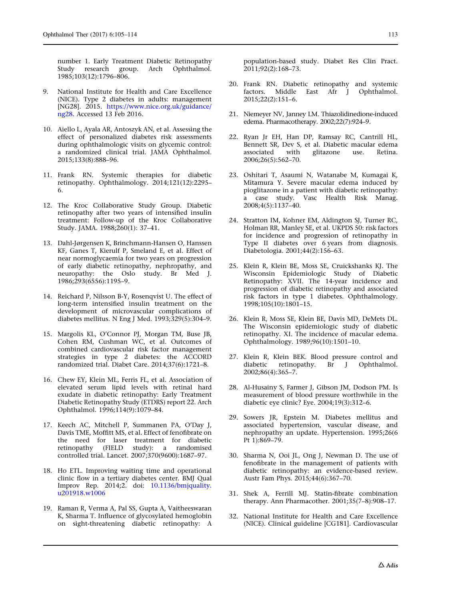<span id="page-8-0"></span>number 1. Early Treatment Diabetic Retinopathy Study research group. Arch Ophthalmol. 1985;103(12):1796–806.

- 9. National Institute for Health and Care Excellence (NICE). Type 2 diabetes in adults: management [NG28]. 2015. [https://www.nice.org.uk/guidance/](https://www.nice.org.uk/guidance/ng28) [ng28.](https://www.nice.org.uk/guidance/ng28) Accessed 13 Feb 2016.
- 10. Aiello L, Ayala AR, Antoszyk AN, et al. Assessing the effect of personalized diabetes risk assessments during ophthalmologic visits on glycemic control: a randomized clinical trial. JAMA Ophthalmol. 2015;133(8):888–96.
- 11. Frank RN. Systemic therapies for diabetic retinopathy. Ophthalmology. 2014;121(12):2295– 6.
- 12. The Kroc Collaborative Study Group. Diabetic retinopathy after two years of intensified insulin treatment: Follow-up of the Kroc Collaborative Study. JAMA. 1988;260(1): 37–41.
- 13. Dahl-Jørgensen K, Brinchmann-Hansen O, Hanssen KF, Ganes T, Kierulf P, Smeland E, et al. Effect of near normoglycaemia for two years on progression of early diabetic retinopathy, nephropathy, and neuropathy: the Oslo study. Br Med J. 1986;293(6556):1195–9.
- 14. Reichard P, Nilsson B-Y, Rosenqvist U. The effect of long-term intensified insulin treatment on the development of microvascular complications of diabetes mellitus. N Eng J Med. 1993;329(5):304–9.
- 15. Margolis KL, O'Connor PJ, Morgan TM, Buse JB, Cohen RM, Cushman WC, et al. Outcomes of combined cardiovascular risk factor management strategies in type 2 diabetes: the ACCORD randomized trial. Diabet Care. 2014;37(6):1721–8.
- 16. Chew EY, Klein ML, Ferris FL, et al. Association of elevated serum lipid levels with retinal hard exudate in diabetic retinopathy: Early Treatment Diabetic Retinopathy Study (ETDRS) report 22. Arch Ophthalmol. 1996;114(9):1079–84.
- 17. Keech AC, Mitchell P, Summanen PA, O'Day J, Davis TME, Moffitt MS, et al. Effect of fenofibrate on the need for laser treatment for diabetic retinopathy (FIELD study): a randomised controlled trial. Lancet. 2007;370(9600):1687–97.
- 18. Ho ETL. Improving waiting time and operational clinic flow in a tertiary diabetes center. BMJ Qual Improv Rep. 2014;2. doi: [10.1136/bmjquality.](http://dx.doi.org/10.1136/bmjquality.u201918.w1006) [u201918.w1006](http://dx.doi.org/10.1136/bmjquality.u201918.w1006)
- 19. Raman R, Verma A, Pal SS, Gupta A, Vaitheeswaran K, Sharma T. Influence of glycosylated hemoglobin on sight-threatening diabetic retinopathy: A

population-based study. Diabet Res Clin Pract. 2011;92(2):168–73.

- 20. Frank RN. Diabetic retinopathy and systemic factors. Middle East Afr J Ophthalmol. 2015;22(2):151–6.
- 21. Niemeyer NV, Janney LM. Thiazolidinedione-induced edema. Pharmacotherapy. 2002;22(7):924–9.
- 22. Ryan Jr EH, Han DP, Ramsay RC, Cantrill HL, Bennett SR, Dev S, et al. Diabetic macular edema associated with glitazone use. Retina. 2006;26(5):562–70.
- 23. Oshitari T, Asaumi N, Watanabe M, Kumagai K, Mitamura Y. Severe macular edema induced by pioglitazone in a patient with diabetic retinopathy: a case study. Vasc Health Risk Manag. 2008;4(5):1137–40.
- 24. Stratton IM, Kohner EM, Aldington SJ, Turner RC, Holman RR, Manley SE, et al. UKPDS 50: risk factors for incidence and progression of retinopathy in Type II diabetes over 6 years from diagnosis. Diabetologia. 2001;44(2):156–63.
- 25. Klein R, Klein BE, Moss SE, Cruickshanks KJ. The Wisconsin Epidemiologic Study of Diabetic Retinopathy: XVII. The 14-year incidence and progression of diabetic retinopathy and associated risk factors in type 1 diabetes. Ophthalmology. 1998;105(10):1801–15.
- 26. Klein R, Moss SE, Klein BE, Davis MD, DeMets DL. The Wisconsin epidemiologic study of diabetic retinopathy. XI. The incidence of macular edema. Ophthalmology. 1989;96(10):1501–10.
- 27. Klein R, Klein BEK. Blood pressure control and diabetic retinopathy. Br J Ophthalmol. 2002;86(4):365–7.
- 28. Al-Husainy S, Farmer J, Gibson JM, Dodson PM. Is measurement of blood pressure worthwhile in the diabetic eye clinic? Eye. 2004;19(3):312–6.
- 29. Sowers JR, Epstein M. Diabetes mellitus and associated hypertension, vascular disease, and nephropathy an update. Hypertension. 1995;26(6 Pt 1):869–79.
- 30. Sharma N, Ooi JL, Ong J, Newman D. The use of fenofibrate in the management of patients with diabetic retinopathy: an evidence-based review. Austr Fam Phys. 2015;44(6):367–70.
- 31. Shek A, Ferrill MJ. Statin-fibrate combination therapy. Ann Pharmacother. 2001;35(7–8):908–17.
- 32. National Institute for Health and Care Excellence (NICE). Clinical guideline [CG181]. Cardiovascular